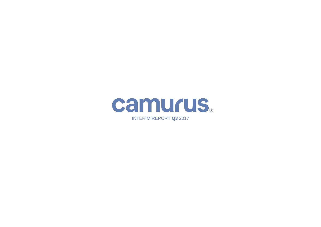

INTERIM REPORT **Q3** 2017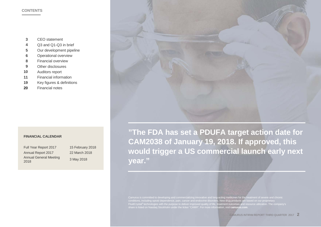#### **CONTENTS**

- **3** CEO statement
- **4** Q3 and Q1-Q3 in brief
- **5** Our development pipeline
- **6** Operational overview
- **8** Financial overview
- **9** Other disclosures
- **10** Auditors report
- **11** Financial information
- **19** Key figures & definitions
- **20** Financial notes

#### **FINANCIAL CALENDAR**

Full Year Report 2017 15 February 2018 Annual Report 2017 22 March 2018 Annual General Meeting

<sup>2018</sup> 3 May 2018



**"The FDA has set a PDUFA target action date for CAM2038 of January 19, 2018. If approved, this would trigger a US commercial launch early next year."**

Camurus is committed to developing and commercializing innovative and long-acting medicines for the treatment of severe and chronic conditions, including opioid dependence, pain, cancer and endocrine disorders. New drug products are based on our proprietary FluidCrystal® technologies with the purpose to deliver improved quality of life, treatment outcomes and resource utilization. The company's share is listed on Nasdaq Stockholm under the ticker "CAMX". For more information, visit **camurus.com**.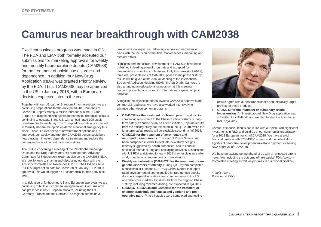## **Camurus near breakthrough with CAM2038**

Excellent business progress was made in Q3. The FDA and EMA both formally accepted our submissions for marketing approvals for weekly and monthly buprenorphine depots (CAM2038) for the treatment of opioid use disorder and dependence. In addition, our New Drug Application (NDA) was granted Priority Review by the FDA. Thus, CAM2038 may be approved in the US in January 2018, with a European decision expected later in the year.

Together with our US partner Braeburn Pharmaceuticals, we are continuing preparations for the anticipated 2018 launches of CAM2038. Approximately 4 million individuals in the US and Europe are diagnosed with opioid dependence. The opioid crisis is continuing to escalate in the US, with an estimated 100 opioid overdose deaths each day. The Trump administration is expected to formally declare the opioid epidemic a national emergency this week. There is a clear need of new treatment options and, if approved, our weekly and monthly CAM2038 depots could be a new paradigm in opioid dependence treatment and reduce the burden and risks of current daily medications.

The FDA is convening a meeting of the Psychopharmacologic Drugs and the Drug Safety and Risk Management Advisory Committee for independent expert advice on the CAM2038 NDA. We look forward to sharing and discussing our data with the Advisory Committee on November 1, 2017. The FDA has set a PDUFA target action date for CAM2038 of January 19, 2018. If approved, this would trigger a US commercial launch early next year.

In anticipation of forthcoming US and European approvals we are continuing to build our commercial organization. Camurus now has presence in key European markets, including the UK, Germany, France and the Nordics. The regional teams have

cross-functional expertise, delivering on pre-commercialization plans with the focus on distribution, market access, marketing and medical affairs.

Highlights from the clinical development of CAM2038 have been published in leading scientific journals and accepted for presentation at scientific conferences. Only this week (Oct 26-29), three oral presentations of CAM2038 phase 2 and phase 3 study results will be given at the Annual Meeting of the International Society of Addiction Medicine (ISAM) in Abu Dhabi. Camurus is also arranging an educational symposium at this meeting, featuring presentations by leading international experts in opioid addiction.

Alongside the significant efforts towards CAM2038 approvals and commercial readiness, we have also worked intensively to advance other development programs:

- **CAM2038 for the treatment of chronic pain.** In addition to completing recruitment to the Phase 3 efficacy study, a longterm safety extension study has been initiated. Top-line results from the efficacy study are expected in the Q1, 2018, while the long-term safety results will be available second half of 2018.
- **CAM2029 for the treatment of acromegaly and neuroendocrine tumours.** The start of Phase 3 trials has been postponed in order to evaluate new study designs recently suggested by health authorities, and to conduct additional manufacturing and packaging activities. Discussions with US FDA anticipated for early 2018 may result in an earlier study completion compared with current designs.
- **Weekly setmelanotide (CAM4072) for the treatment of rare genetic disorders of obesity**. During Q3, Rhythm completed a successful IPO on the NASDAQ Global Market to support rapid development of setmelanotide for rare genetic obesity disorders, expand indications and commercialize in the US and other core markets. Final results from the ongoing Phase 1 study, including repeated dosing, are expected in Q4 2017.
- **CAM2047, CAM2048 and CAM2058 for the treatment of chemotherapy induced nausea and vomiting and postoperative pain.** Phase I studies were completed and topline



results agree with our pharmacokinetic and tolerability target profiles for these products.

• **CAM2043 for the treatment of pulmonary arterial hypertension**. An Investigational New Drug application was submitted for CAM2043 and we plan to start the first clinical trial in Q4 2017.

Camurus' financial results are in line with our plan, with significant investments in R&D and build-up of our commercial organization for a 2018 European launch of CAM2038. We have a solid financial position with 370 MSEK in cash and the potential for significant near-term development milestone payments following NDA approval of CAM2038.

We have an exciting period ahead of us with an expected strong news flow, including the outcome of next weeks' FDA Advisory Committee meeting as well as progress in our clinical pipeline.

*Fredrik Tiberg President & CEO*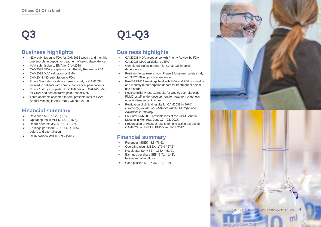## **Q3**

## **Business highlights**

- NDA submission to FDA for CAM2038 weekly and monthly buprenorphine depots for treatment of opioid dependence.
- MAA submission to EMA for CAM2038.
- CAM2038 NDA acceptance with Priority Review by FDA.
- CAM2038 MAA validation by EMA.
- CAM2043 IND submission to FDA.
- Phase 3 long-term safety extension study of CAM2038 initiated in patients with chronic non-cancer pain patients.
- Phase 1 study completed for CAM2047 and CAM2048/58 for CINV and postoperative pain, respectively
- Three abstracts accepted for oral presentations at ISAM Annual Meeting in Abu Dhabi, October 26-29.

## **Financial summary**

- Revenues MSEK 12.5 (30.5).
- Operating result MSEK -67.1 (-16.6).
- Result after tax MSEK -52.3 (-13.2).
- Earnings per share SEK -1.40 (-0.35), before and after dilution.
- Cash position MSEK 369.7 (518.2).

# **Q1-Q3**

## **Business highlights**

- CAM2038 NDA acceptance with Priority Review by FDA
- CAM2038 MAA validation by EMA
- Completed clinical program for CAM2038 in opioid dependence.
- Positive clinical results from Phase 3 long-term safety study of CAM2038 in opioid dependence.
- Pre-MAA/NDA meetings held with EMA and FDA for weekly and monthly buprenorphine depots for treatment of opioid use disorder.
- Positive initial Phase 1a results for weekly setmelanotide FluidCrystal® under development for treatment of genetic obesity disease by Rhythm.
- Publication of clinical results for CAM2038 in *JAMA Psychiatry*, *Journal of Substance Abuse Therapy*, and *Advances in Therapy*.
- Four oral CAM2038 presentations at the CPDD Annual Meeting in Montreal, June 17 – 22, 2017.
- Presentation of Phase 2 results for long-acting octreotide, CAM2029, at ENETS, ENDO and ECE 2017.

## **Financial summary**

- Revenues MSEK 48.8 (76.6).
- Operating result MSEK -177.4 (-67.3).
- Result after tax MSEK -138.4 (-53.2).
- Earnings per share SEK -3.71 (-1.43), before and after dilution.
- Cash position MSEK 369.7 (518.2).

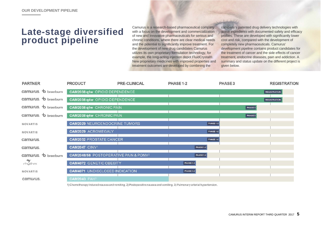## **Late-stage diversified product pipeline**

Camurus is a research-based pharmaceutical company with a focus on the development and commercialization of new and innovative pharmaceuticals for serious and chronic conditions, where there are clear medical needs and the potential to significantly improve treatment. For the development of new drug candidates Camurus utilizes its own proprietary formulation technology, for example, the long-acting injection depot FluidCrystal®. New proprietary medicines with improved properties and treatment outcomes are developed by combining the

company's patented drug delivery technologies with active ingredients with documented safety and efficacy profiles. These are developed with significantly lower cost and risk, compared with the development of completely new pharmaceuticals. Camurus' development pipeline contains product candidates for the treatment of cancer and the side effects of cancer treatment, endocrine diseases, pain and addiction. A summary and status update on the different project is given below.

| <b>PARTNER</b>      | <b>PRODUCT</b>                                    | PRE-CLINICAL | PHASE 1-2        | PHASE <sub>3</sub> | <b>REGISTRATION</b> |
|---------------------|---------------------------------------------------|--------------|------------------|--------------------|---------------------|
| camurus. b braeburn | CAM2038 q1w OPIOID DEPENDENCE                     |              |                  |                    | <b>REGISTRATION</b> |
| camurus. b braeburn | CAM2038 q4w OPIOID DEPENDENCE                     |              |                  |                    | <b>REGISTRATION</b> |
| camurus. b braeburn | CAM2038 q1w CHRONIC PAIN                          |              |                  | PHASE3             |                     |
| camurus. b braeburn | CAM2038 q4w CHRONIC PAIN                          |              |                  | PHASE 3            |                     |
| NOVARTIS            | <b>CAM2029 NEUROENDOCRINE TUMORS</b>              |              | <b>PHASE 1-2</b> |                    |                     |
| <b>NOVARTIS</b>     | <b>CAM2029 ACROMEGALY</b>                         |              | <b>PHASE 1-2</b> |                    |                     |
| camurus.            | <b>CAM2032 PROSTATE CANCER</b>                    |              | <b>PHASE 1-2</b> |                    |                     |
| camurus.            | <b>CAM2047 CINV1</b>                              |              | PHASE 1-2        |                    |                     |
| camurus. b braeburn | CAM2048/58 POSTOPERATIVE PAIN & PONV <sup>2</sup> |              | PHASE 1-2        |                    |                     |
| $r$ hýthm           | <b>CAM4072 GENETIC OBESITY</b>                    |              | <b>PHASE 1-2</b> |                    |                     |
| NOVARTIS            | <b>CAM4071 UNDISCLOSED INDICATION</b>             |              | PHASE 1-2        |                    |                     |
| camurus.            | <b>CAM2043 PAH3</b>                               |              |                  |                    |                     |
|                     |                                                   |              |                  |                    |                     |

1) Chemotherapy induced nausea and vomiting, 2) Postoperative nausea and vomiting. 3) Pulmonary arterial hypertension.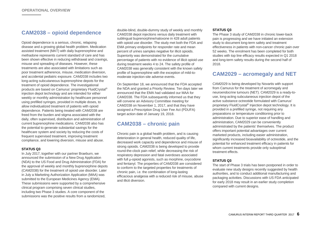## **CAM2038 – opioid dependence**

Opioid dependence is a serious, chronic, relapsing disease and a growing global health problem. Medication assisted treatment (MAT) with daily buprenorphine and methadone represents current standard of care and has been shown effective in reducing withdrawal and cravings, misuse and spreading of diseases. However, these treatments are also associated with limitations such as poor treatment adherence, misuse, medication diversion, and accidental pediatric exposure. CAM2038 includes two long-acting subcutaneous buprenorphine depots for the treatment of opioid dependence. The investigational products are based on Camurus' proprietary FluidCrystal® injection depot technology and are intended for either weekly or monthly administration by healthcare personnel using prefilled syringes, provided in multiple doses, to allow individualized treatment of patients with opioid dependence. Patients being treated with CAM2038 are freed from the burden and stigma associated with the daily, often supervised, distribution and administration of current buprenorphine medications. CAM2038 also has the potential to generate substantial savings for the healthcare system and society by reducing the costs of frequent supervised treatment, improving treatment compliance, and lowering diversion, misuse and abuse.

#### **STATUS Q3**

In July 2017, together with our partner Braeburn, we announced the submission of a New Drug Application (NDA) to the US Food and Drug Administration (FDA) for the approval of weekly and monthly buprenorphine depots (CAM2038) for the treatment of opioid use disorder. Later in July a Marketing Authorization Application (MAA) was submitted to the European Medicines Agency (EMA). These submissions were supported by a comprehensive clinical program comprising seven clinical studies, including two Phase 3 studies. A core component of the submissions was the positive results from a randomized,

double-blind, double-dummy study of weekly and monthly CAM2038 depot injections versus daily treatment with sublingual buprenorphine/naloxone in 428 adult patients with opioid use disorder. The study met both the FDA and EMA primary endpoints for responder rate and mean percent of urines samples negative for illicit opioids. Superiority was demonstrated for the cumulative percentage of patients with no evidence of illicit opioid use during treatment weeks 4 to 24. The safety profile of CAM2038 was generally consistent with the known safety profile of buprenorphine with the exception of mild-tomoderate injection-site adverse events.

On September 18, we announced that the FDA accepted the NDA and granted a Priority Review. Ten days later we announced that the EMA had validated our MAA for CAM2038. The FDA subsequently informed us that they will convene an Advisory Committee meeting for CAM2038 on November 1, 2017, and that they have assigned a Prescription Drug User Fee Act (PDUFA) target action date of January 19, 2018.

## **CAM2038 – chronic pain**

Chronic pain is a global health problem, and is causing deterioration in general health, reduced quality of life, decreased work capacity and dependence and misuse of strong opioids. CAM2038 is being developed to provide round-the-clock pain relief, while decreasing the risk of respiratory depression and fatal overdoses associated with full µ-opioid agonists, such as morphine, oxycodone and fentanyl. The properties of CAM2038 are considered to conform to the targeted properties for treatments of chronic pain, i.e. the combination of long-lasting efficacious analgesia with a reduced risk of misuse, abuse and illicit diversion.

#### **STATUS Q3**

The Phase 3 study of CAM2038 in chronic lower-back pain is progressing and we have initiated an extension study to document long-term safety and treatment effectiveness in patients with non-cancer chronic pain over 52 weeks. The enrolment has been completed for both studies with top line efficacy results expected in Q1 2018 and long-term safety results during the second half of 2018.

## **CAM2029 – acromegaly and NET**

CAM2029 is being developed by Novartis with support from Camurus for the treatment of acromegaly and neuroendocrine tumours (NET). CAM2029 is a ready-touse, long-acting subcutaneous injection depot of the active substance octreotide formulated with Camurus' proprietary FluidCrystal® Injection depot technology. It is provided in a prefilled syringe, not requiring any preparations or temperature conditioning prior to administration. Due to superior ease of handling and administration, CAM2029 can be conveniently administrated by the patients' themselves. The product offers important potential advantages over current marketed products, including easier administration, significantly increased bioavailability of octreotide, and the potential for enhanced treatment efficacy in patients for whom current treatments provide only suboptimal treatment effects.

#### **STATUS Q3**

The start of Phase 3 trials has been postponed in order to evaluate new study designs recently suggested by health authorities, and to conduct additional manufacturing and packaging activities. Discussions with US FDA anticipated for early 2018 may result in an earlier study completion compared with current designs.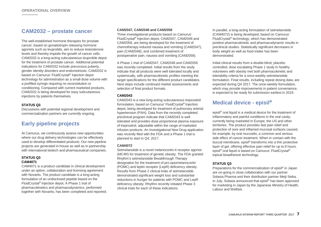## **CAM2032 – prostate cancer**

The well-established hormone therapies for prostate cancer, based on gonadotropin releasing hormone agonists such as leuprolide, aim to reduce testosterone levels and thereby impede the growth of cancer cells. CAM2032 is a long-acting subcutaneous leuprolide depot for the treatment of prostate cancer. Additional potential indications for CAM2032 include precocious puberty, gender identity disorders and endometriosis. CAM2032 is based on Camurus' FluidCrystal® Injection depot technology for administration as a small dose volume with a prefilled syringe requiring no reconstitution or conditioning. Compared with current marketed products, CAM2032 is being developed for easy subcutaneous injections by patients themselves.

#### **STATUS Q3**

Discussions with potential regional development and commercialization partners are currently ongoing.

## **Early pipeline projects**

At Camurus, we continuously assess new opportunities where our drug delivery technologies can be effectively used to develop differentiated products. Our new pipeline projects are generated in-house as well as in partnership with international biotech and pharmaceutical companies.

#### **STATUS Q3 CAM4071**

CAM4071 is a product candidate in clinical development under an option, collaboration and licensing agreement with Novartis. The product candidate is a long-acting formulation of an undisclosed peptide based on the FluidCrystal® Injection depot. A Phase 1 trial of pharmacokinetics and pharmacodynamics, performed together with Novartis, has been completed and reported.

#### **CAM2047, CAM2048 and CAM2058**

Three investigational products based on Camurus' FluidCrystal® Injection depot, CAM2047, CAM2048 and CAM2058, are being developed for the treatment of chemotherapy induced nausea and vomiting (CAM2047), pain (CAM2048), and combined treatment of postoperative pain, nausea and vomiting (CAM2058).

A Phase 1 trial of CAM2047, CAM2048 and CAM2058 was recently completed. Initial results from the study indicate that all products were well tolerated locally and systemically, with pharmacokinetic profiles meeting the target specifications for the different product candidates. Next steps include continued market assessments and selection of final product formats.

#### **CAM2043**

CAM2043 is a new long-acting subcutaneous treprostinil formulation, based on Camurus' FluidCrystal® Injection depot, being developed for treatment of pulmonary arterial hypertension (PAH). Data from the recently completed preclinical program indicate that CAM2043 is well tolerated and provides dose proportional plasma exposure of treprostinil, adjustable within the range of marketed infusion products. An Investigational New Drug application was recently filed with the FDA and a Phase 1 trial is planned to start in Q4, 2017.

#### **CAM4072**

Setmelanotide is a novel melanocortin-4 receptor agonist (MC4R) for treatment of genetic obesity. The FDA granted Rhythm's setmelanotide Breakthrough Therapy designation for the treatment of pro-opiomelanocortin (POMC) and leptin receptor (LepR) deficiency obesity. Results from Phase 2 clinical trials of setmelanotide demonstrated significant weight loss and substantial reductions in hunger for patients with POMC and LepR deficiency obesity. Rhythm recently initiated Phase 3 clinical trials for each of these indications.

In parallel, a long-acting formulation of setmelanotide (CAM4072) is being developed, based on Camurus' FluidCrystal® technology, which has demonstrated positive pharmacokinetic and pharmacodynamic results in preclinical studies. Statistically significant decreases in body weight as well as food intake has been demonstrated.

Initial clinical results from a double-blind, placebo controlled, dose escalating Phase 1 study in healthy volunteers with obesity met both pharmacokinetic and tolerability criteria for a once-weekly setmelanotide formulation. Final results, including repeat dosing data, are expected during Q4 2017. The once-weekly formulation, which may provide improvements in patient convenience. is expected to be ready for submission earliest in 2019.

## **Medical device - episil®**

episil® oral liquid is a medical device for the treatment of inflammatory and painful conditions in the oral cavity, currently being marketed in Europe, the US and other territories. The product provides fast pain relief and protection of sore and inflamed mucosal surfaces caused, for example, by oral mucositis, a common and serious side effect of cancer treatment. When in contact with the buccal membrane, episil® transforms into a thin protective layer of gel, offering effective pain relief for up to 8 hours. episil® oral liquid is based on Camurus' FluidCrystal® topical bioadhesive technology.

#### **STATUS Q3**

Preparations for the commercialization of episil® in Japan are on-going in close collaboration with our partner Solasia Pharma and their distribution partner Meiji Seika. In July, Solasia announced that episil® has been approved for marketing in Japan by the Japanese Ministry of Health, Labour and Welfare.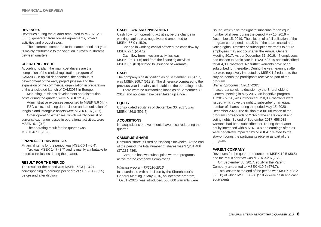#### **REVENUES**

Revenues during the quarter amounted to MSEK 12.5 (30.5), generated from license agreements, project activities and product sales.

The difference compared to the same period last year is mainly attributable to the variation in revenue streams between quarters.

#### **OPERATING RESULT**

According to plan, the main cost drivers are the completion of the clinical registration program of CAM2038 in opioid dependence, the continuous development of the early project pipeline and the expansion of the commercial organization in preparation of the anticipated launch of CAM2038 in Europe.

Marketing, business development and distribution costs during the quarter, were MSEK 12.9 (5.8).

Administrative expenses amounted to MSEK 5.6 (4.4). R&D costs, including depreciation and amortization of tangible and intangible assets were MSEK 61.6 (36.7).

Other operating expenses, which mainly consist of currency exchange losses in operational activities, were MSEK -0.1 (0.3).

The operating result for the quarter was MSEK -67.1 (-16.6).

#### **FINANCIAL ITEMS AND TAX**

Financial items for the period was MSEK 0.1 (-0.4). Tax was MSEK 14.7 (3.7) and is mainly attributable to deferred tax losses during the quarter.

#### **RESULT FOR THE PERIOD**

The result for the period was MSEK -52.3 (-13.2), corresponding to earnings per share of SEK -1.4 (-0.35) before and after dilution.

#### **CASH FLOW AND INVESTMENT**

Cash flow from operating activities, before change in working capital, was negative and amounted to MSEK -66.0 (-15.9).

Change in working capital affected the cash flow by MSEK 22.1 (-14.1).

Cash flow from investing activities was MSEK -0.0 (-1.6) and from the financing activities MSEK 0.3 (0.9) related to issuance of warrants.

#### **CASH**

The company's cash position as of September 30, 2017, was MSEK 369.7 (518.2). The difference compared to the previous year is mainly attributable to the operating result.

There were no outstanding loans as of September 30, 2017, and no loans have been taken up since.

#### **EQUITY**

Consolidated equity as of September 30, 2017, was MSEK 436.8 (591.5)

#### **ACQUISITIONS**

No acquisitions or divestments have occurred during the quarter.

#### **CAMURUS' SHARE**

Camurus' share is listed on Nasdaq Stockholm. At the end of the period, the total number of shares was 37,281,486 (37,281,486).

Camurus has two subscription warrant programs active for the company's employees.

#### *Warrant program TP2016/2016*

In accordance with a decision by the Shareholder's General Meeting in May 2016, an incentive program, TO2017/2020, was introduced. 550 000 warrants were

issued, which give the right to subscribe for an equal number of shares during the period May 15, 2019 – December 15, 2019. The dilution of a full utilization of the program corresponds to 1.5 % of the share capital and voting rights. Transfer of subscription warrants to future employees may not occur after the Annual General Meeting 2017. As per December 31, 2016, 47 employees had chosen to participate in TO2016/2019 and subscribed for 404,300 warrants. No further warrants have been subscribed for thereafter. During the year, earnings after tax were negatively impacted by MSEK 1,2 related to the stay-on bonus the participants receive as part of the program.

#### *Warrant program TO2017/2020*

In accordance with a decision by the Shareholder's General Meeting in May 2017, an incentive program, TO2017/2020, was introduced. 750,000 warrants were issued, which give the right to subscribe for an equal number of shares during the period May 15, 2020 – December 2020. The dilution of a full utilization of the program corresponds to 2.0% of the share capital and voting rights. By end of September 2017, 658,932 warrants had been subscribed for. During the quarter equity increased with MSEK 10.8 and earnings after tax were negatively impacted by MSEK 4.7 related to the stay-on bonus the participants receive as part of the program.

#### **PARENT COMPANY**

Revenues for the quarter amounted to MSEK 12.5 (30.5) and the result after tax was MSEK -52.6 (-12.8).

On September 30, 2017, equity in the Parent Company amounted to MSEK 419.6 (574.7).

Total assets at the end of the period was MSEK 508.2 (635.0) of which MSEK 369.6 (518.2) were cash and cash equivalents.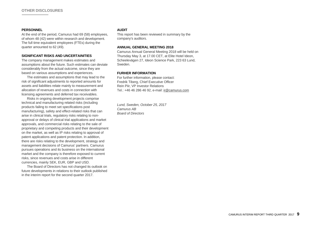#### **PERSONNEL**

At the end of the period, Camurus had 69 (58) employees, of whom 48 (42) were within research and development. The full time equivalent employees (FTEs) during the quarter amounted to 62 (49).

#### **SIGNIFICANT RISKS AND UNCERTAINITIES**

The company management makes estimates and assumptions about the future. Such estimates can deviate considerably from the actual outcome, since they are based on various assumptions and experiences.

The estimates and assumptions that may lead to the risk of significant adjustments to reported amounts for assets and liabilities relate mainly to measurement and allocation of revenues and costs in connection with licensing agreements and deferred tax receivables.

Risks in ongoing development projects comprise technical and manufacturing related risks (including products failing to meet set specifications post manufacturing), safety and effect-related risks that can arise in clinical trials, regulatory risks relating to nonapproval or delays of clinical trial applications and market approvals, and commercial risks relating to the sale of proprietary and competing products and their development on the market, as well as IP risks relating to approval of patent applications and patent protection. In addition, there are risks relating to the development, strategy and management decisions of Camurus' partners. Camurus pursues operations and its business on the international market and the company is therefore exposed to current risks, since revenues and costs arise in different currencies, mainly SEK, EUR, GBP and USD.

The Board of Directors has not changed its outlook on future developments in relations to their outlook published in the interim report for the second quarter 2017.

#### **AUDIT**

This report has been reviewed in summary by the company's auditors.

#### **ANNUAL GENERAL MEETING 2018**

Camurus Annual General Meeting 2018 will be held on Thursday May 3, at 17.00 CET, at Elite Hotel Ideon, Scheelevägen 27, Ideon Science Park, 223 63 Lund, Sweden.

#### **FURHER INFORMATION**

For further information, please contact: Fredrik Tiberg, Chief Executive Officer Rein Piir, VP Investor Relations Tel.: +46 46 286 46 92, e-mail[: ir@camurus.com](mailto:ir@camurus.com)

*Lund, Sweden, October 25, 2017 Camurus AB Board of Directors*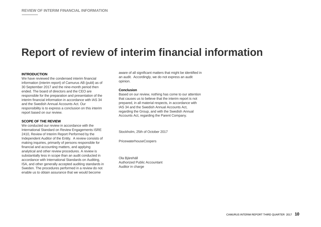## **Report of review of interim financial information**

#### **INTRODUCTION**

We have reviewed the condensed interim financial information (interim report) of Camurus AB (publ) as of 30 September 2017 and the nine-month period then ended. The board of directors and the CEO are responsible for the preparation and presentation of the interim financial information in accordance with IAS 34 and the Swedish Annual Accounts Act. Our responsibility is to express a conclusion on this interim report based on our review.

#### **SCOPE OF THE REVIEW**

We conducted our review in accordance with the International Standard on Review Engagements ISRE 2410, Review of Interim Report Performed by the Independent Auditor of the Entity. A review consists of making inquiries, primarily of persons responsible for financial and accounting matters, and applying analytical and other review procedures. A review is substantially less in scope than an audit conducted in accordance with International Standards on Auditing, ISA, and other generally accepted auditing standards in Sweden. The procedures performed in a review do not enable us to obtain assurance that we would become

aware of all significant matters that might be identified in an audit. Accordingly, we do not express an audit opinion.

#### **Conclusion**

Based on our review, nothing has come to our attention that causes us to believe that the interim report is not prepared, in all material respects, in accordance with IAS 34 and the Swedish Annual Accounts Act, regarding the Group, and with the Swedish Annual Accounts Act, regarding the Parent Company.

Stockholm, 25th of October 2017

PricewaterhouseCoopers

Ola Bjärehäll Authorized Public Accountant Auditor in charge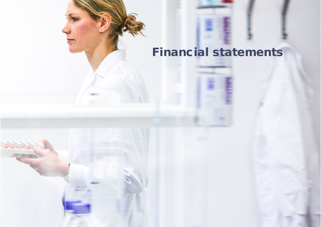# Financial statements

CAMURUS INTERIM REPORT THIRD QUARTER 2017 **11**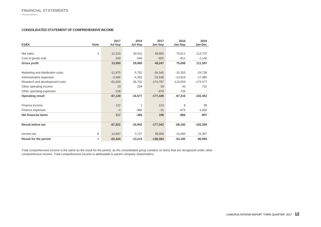#### **CONSOLIDATED STATEMENT OF COMPREHENSIVE INCOME**

| <b>KSEK</b>                      | <b>Note</b> | 2017<br>Jul-Sep | 2016<br>Jul-Sep | 2017<br>Jan-Sep | 2016<br>Jan-Sep | 2016<br>Jan-Dec |
|----------------------------------|-------------|-----------------|-----------------|-----------------|-----------------|-----------------|
|                                  |             |                 |                 |                 |                 |                 |
| Net sales                        | 3           | 12,519          | 30,531          | 48,850          | 76,611          | 113,737         |
| Cost of goods sold               |             | 530             | $-546$          | $-602$          | $-911$          | $-2,140$        |
| <b>Gross profit</b>              |             | 13,050          | 29,985          | 48,247          | 75,699          | 111,597         |
| Marketing and distribution costs |             | $-12,875$       | $-5,762$        | $-34,545$       | $-15,353$       | $-24,738$       |
| Administrative expenses          |             | $-5,566$        | $-4,392$        | $-15,536$       | $-13,919$       | $-17,985$       |
| Research and development costs   |             | $-61,628$       | $-36,702$       | $-174,797$      | $-113,059$      | $-172,077$      |
| Other operating income           |             | 19              | 294             | 59              | 43              | 751             |
| Other operating expenses         |             | $-139$          |                 | $-878$          | $-728$          |                 |
| <b>Operating result</b>          |             | $-67,139$       | $-16,577$       | $-177,449$      | $-67,316$       | $-102,452$      |
| Finance income                   |             | 122             |                 | 123             | 8               | 95              |
| Finance expenses                 |             | $-4$            | $-366$          | $-15$           | $-874$          | $-1,002$        |
| <b>Net financial items</b>       |             | 117             | $-365$          | 108             | $-866$          | $-907$          |
| <b>Result before tax</b>         |             | $-67,022$       | $-16,942$       | $-177,342$      | $-68,182$       | $-103,359$      |
| Income tax                       | 8           | 14,687          | 3,727           | 38,958          | 15,000          | 22,367          |
| <b>Result for the period</b>     | 4           | $-52,334$       | $-13,215$       | $-138,384$      | $-53,185$       | $-80,993$       |

Total comprehensive income is the same as the result for the period, as the consolidated group contains no items that are recognized under other comprehensive income. Total comprehensive income is attributable to parent company shareholders.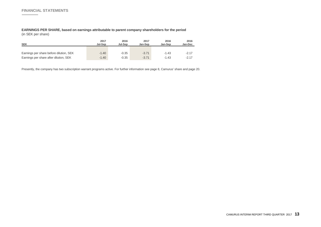**EARNINGS PER SHARE, based on earnings attributable to parent company shareholders for the period**  (in SEK per share)

| <b>SEK</b>                              | 2017<br>Jul-Sep | 2016<br>Jul-Sep | 2017<br>Jan-Sep | 2016<br>Jan-Sep | 2016<br>Jan-Dec |
|-----------------------------------------|-----------------|-----------------|-----------------|-----------------|-----------------|
| Earnings per share before dilution, SEK | $-1.40$         | $-0.35$         | $-3.71$         | $-1.43$         | $-2.17$         |
| Earnings per share after dilution, SEK  | $-1.40$         | $-0.35$         | $-3.71$         | $-1.43$         | $-2.17$         |

Presently, the company has two subscription warrant programs active. For further information see page 8, Camurus' share and page 20.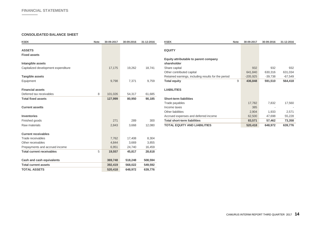$\sim$ 

#### **CONSOLIDATED BALANCE SHEET**

| <b>KSEK</b>                         | <b>Note</b> | 30-09-2017 | 30-09-2016 | 31-12-2016 | <b>KSEK</b>                                         | <b>Note</b> | 30-09-2017 | 30-09-2016     | 31-12-2016 |
|-------------------------------------|-------------|------------|------------|------------|-----------------------------------------------------|-------------|------------|----------------|------------|
| <b>ASSETS</b>                       |             |            |            |            | <b>EQUITY</b>                                       |             |            |                |            |
| <b>Fixed assets</b>                 |             |            |            |            |                                                     |             |            |                |            |
|                                     |             |            |            |            | Equity attributable to parent company               |             |            |                |            |
| Intangible assets                   |             |            |            |            | shareholder                                         |             |            |                |            |
| Capitalized development expenditure |             | 17,175     | 19,262     | 18,741     | Share capital                                       |             | 932        | 932            | 932        |
|                                     |             |            |            |            | Other contributed capital                           |             | 641,840    | 630,316        | 631,034    |
| <b>Tangible assets</b>              |             |            |            |            | Retained earnings, including results for the period |             | $-205,925$ | $-39,738$      | $-67,549$  |
| Equipment                           |             | 9,798      | 7,371      | 9,759      | <b>Total equity</b>                                 | 9           | 436,848    | 591,510        | 564,418    |
| <b>Financial assets</b>             |             |            |            |            | <b>LIABILITIES</b>                                  |             |            |                |            |
| Deferred tax receivables            | 8           | 101,026    | 54,317     | 61,685     |                                                     |             |            |                |            |
| <b>Total fixed assets</b>           |             | 127,999    | 80,950     | 90,185     | <b>Short-term liabilities</b>                       |             |            |                |            |
|                                     |             |            |            |            | Trade payables                                      |             | 17,782     | 7,832          | 17,560     |
| <b>Current assetts</b>              |             |            |            |            | Income taxes                                        |             | 385        | $\overline{a}$ |            |
|                                     |             |            |            |            | Other liabilities                                   |             | 2,904      | 1,933          | 2,571      |
| <b>Inventories</b>                  |             |            |            |            | Accrued expenses and deferred income                |             | 62,500     | 47,698         | 55,228     |
| Finished goods                      |             | 271        | 289        | 300        | <b>Total short-term liabilities</b>                 |             | 83,571     | 57,462         | 73,358     |
| Raw materials                       |             | 2,843      | 3,668      | 12,080     | <b>TOTAL EQUITY AND LIABILITIES</b>                 |             | 520,418    | 648,972        | 639,776    |
| <b>Current receivables</b>          |             |            |            |            |                                                     |             |            |                |            |
| Trade receivables                   |             | 7,762      | 17,408     | 8,304      |                                                     |             |            |                |            |
| Other receivables                   |             | 4,844      | 3,669      | 3,855      |                                                     |             |            |                |            |
| Prepayments and accrued income      |             | 6,951      | 24,740     | 16,459     |                                                     |             |            |                |            |
| <b>Total current receivables</b>    | 5           | 19,557     | 45,817     | 28,618     |                                                     |             |            |                |            |
| Cash and cash equivalents           |             | 369,748    | 518,248    | 508,594    |                                                     |             |            |                |            |
| <b>Total current assets</b>         |             | 392,419    | 568,022    | 549,592    |                                                     |             |            |                |            |
| <b>TOTAL ASSETS</b>                 |             | 520,418    | 648,972    | 639,776    |                                                     |             |            |                |            |
|                                     |             |            |            |            |                                                     |             |            |                |            |

| nocn                                                | <b>NOTE</b> | 30-09-ZUT7 | 30-09-ZUTO | 31-12-2010 |
|-----------------------------------------------------|-------------|------------|------------|------------|
| <b>EQUITY</b>                                       |             |            |            |            |
| Equity attributable to parent company               |             |            |            |            |
| shareholder                                         |             |            |            |            |
| Share capital                                       |             | 932        | 932        | 932        |
| Other contributed capital                           |             | 641,840    | 630,316    | 631,034    |
| Retained earnings, including results for the period |             | $-205,925$ | $-39,738$  | $-67,549$  |
| <b>Total equity</b>                                 | 9           | 436,848    | 591,510    | 564,418    |
| <b>LIABILITIES</b>                                  |             |            |            |            |
| <b>Short-term liabilities</b>                       |             |            |            |            |
| Trade payables                                      |             | 17,782     | 7,832      | 17,560     |
| Income taxes                                        |             | 385        |            |            |
| Other liabilities                                   |             | 2,904      | 1,933      | 2,571      |
| Accrued expenses and deferred income                |             | 62,500     | 47,698     | 55,228     |
| <b>Total short-term liabilities</b>                 |             | 83,571     | 57,462     | 73,358     |
| <b>TOTAL EQUITY AND LIABILITIES</b>                 |             | 520,418    | 648,972    | 639,776    |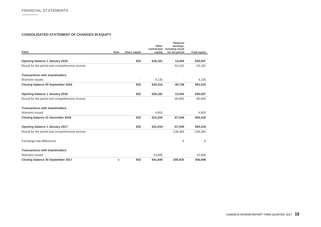#### **CONSOLIDATED STATEMENT OF CHANGES IN EQUITY**

|                                                |             |               | Other                  | <b>Retained</b><br>earnings,       |                     |
|------------------------------------------------|-------------|---------------|------------------------|------------------------------------|---------------------|
| <b>KSEK</b>                                    | <b>Note</b> | Share capital | contributed<br>capital | including result<br>for the period | <b>Total equity</b> |
|                                                |             |               |                        |                                    |                     |
| Opening balance 1 January 2016                 |             | 932           | 626,181                | 13,444                             | 640,557             |
| Result for the period and comprehensive income |             |               |                        | $-53,182$                          | $-53,182$           |
| <b>Transactions with shareholders</b>          |             |               |                        |                                    |                     |
| Warrants issued                                |             |               | 4,135                  |                                    | 4,135               |
| Closing balance 30 September 2016              |             | 932           | 630,316                | $-39.738$                          | 591,510             |
| Opening balance 1 January 2016                 |             | 932           | 626,181                | 13,444                             | 640,557             |
| Result for the period and comprehensive income |             |               |                        | $-80,993$                          | $-80,993$           |
| <b>Transactions with shareholders</b>          |             |               |                        |                                    |                     |
| Warrants issued                                |             |               | 4,853                  |                                    | 4,853               |
| Closing balance 31 December 2016               |             | 932           | 631,034                | $-67.549$                          | 564,418             |
| Opening balance 1 January 2017                 |             | 932           | 631,034                | $-67.549$                          | 564,418             |
| Result for the period and comprehensive income |             |               |                        | $-138,384$                         | $-138,384$          |
| Exchange-rate differences                      |             |               |                        | 8                                  | 8                   |
| <b>Transactions with shareholders</b>          |             |               |                        |                                    |                     |
| <b>Warrants issued</b>                         |             |               | 10.806                 |                                    | 10,806              |
| Closing balance 30 September 2017              | 9           | 932           | 641,840                | $-205,925$                         | 436,848             |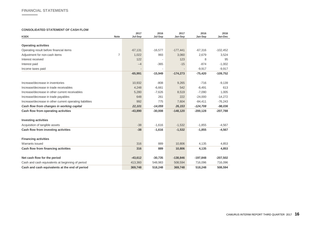$\overline{\phantom{a}}$ 

#### **CONSOLIDATED STATEMENT OF CASH FLOW**

| <b>KSEK</b><br><b>Note</b>                               | 2017<br>Jul-Sep | 2016<br>Jul-Sep | 2017<br>Jan-Sep | 2016<br>Jan-Sep | 2016<br>Jan-Dec |
|----------------------------------------------------------|-----------------|-----------------|-----------------|-----------------|-----------------|
|                                                          |                 |                 |                 |                 |                 |
| <b>Operating activities</b>                              |                 |                 |                 |                 |                 |
| Operating result before financial items                  | $-67,131$       | $-16,577$       | $-177,441$      | $-67,316$       | $-102,452$      |
| 7<br>Adjustment for non-cash items                       | 1,022           | 993             | 3,060           | 2,679           | 3,524           |
| Interest received                                        | 122             |                 | 123             | 8               | 95              |
| Interest paid                                            | $-4$            | $-365$          | $-15$           | $-874$          | $-1,002$        |
| Income taxes paid                                        |                 |                 |                 | $-9,917$        | $-9,917$        |
|                                                          | $-65,991$       | $-15,949$       | $-174,273$      | $-75,420$       | $-109,752$      |
| Increase/decrease in inventories                         | 10,932          | $-808$          | 9,265           | $-716$          | $-9,139$        |
| Increase/decrease in trade receivables                   | 4,248           | $-6,661$        | 542             | $-8,491$        | 613             |
| Increase/decrease in other current receivables           | 5,280           | $-7,626$        | 8,519           | $-7,090$        | 1.005           |
| Increase/decrease in trade payables                      | 648             | 261             | 222             | $-24,000$       | $-14,272$       |
| Increase/decrease in other current operating liabilities | 992             | 775             | 7,604           | $-84,411$       | $-76,243$       |
| Cash flow from changes in working capital                | 22,101          | $-14,059$       | 26,153          | $-124,708$      | $-98,036$       |
| Cash flow from operating activities                      | $-43,890$       | $-30,008$       | $-148,120$      | $-200, 128$     | $-207,788$      |
| <b>Investing activities</b>                              |                 |                 |                 |                 |                 |
| Acquisition of tangible assets                           | $-38$           | $-1,616$        | $-1,532$        | $-1,855$        | $-4,567$        |
| Cash flow from investing activities                      | $-38$           | $-1,616$        | $-1,532$        | $-1,855$        | $-4,567$        |
| <b>Financing activities</b>                              |                 |                 |                 |                 |                 |
| Warrants issued                                          | 316             | 889             | 10,806          | 4,135           | 4,853           |
| Cash flow from financing activities                      | 316             | 889             | 10,806          | 4,135           | 4,853           |
| Net cash flow for the period                             | $-43,612$       | $-30,735$       | $-138,846$      | $-197,848$      | $-207,502$      |
| Cash and cash equivalents at beginning of period         | 413,360         | 548,983         | 508,594         | 716,096         | 716,096         |
| Cash and cash equivalents at the end of period           | 369,748         | 518,248         | 369,748         | 518,248         | 508,594         |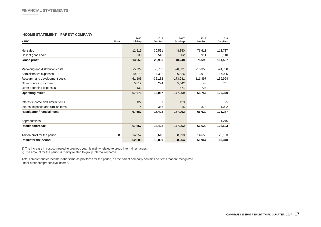#### **INCOME STATEMENT – PARENT COMPANY**

| <b>KSEK</b><br><b>Note</b>            | 2017<br>Jul-Sep | 2016<br>Jul-Sep | 2017       | 2016<br>Jan-Sep | 2016<br>Jan-Dec |
|---------------------------------------|-----------------|-----------------|------------|-----------------|-----------------|
|                                       |                 |                 | Jan-Sep    |                 |                 |
| Net sales                             | 12,519          | 30,531          | 48,850     | 76,611          | 113,737         |
| Cost of goods sold                    | 530             | $-546$          | $-602$     | $-911$          | $-2,140$        |
| <b>Gross profit</b>                   | 13,050          | 29,985          | 48,248     | 75,699          | 111,597         |
| Marketing and distribution costs      | $-5,729$        | $-5,762$        | $-20,631$  | $-15,353$       | $-24,738$       |
| Administrative expenses <sup>1)</sup> | $-19,370$       | $-4,392$        | $-36,526$  | $-13,919$       | $-17,985$       |
| Research and development costs        | $-61,106$       | $-36,182$       | $-173,231$ | $-111,497$      | $-169,994$      |
| Other operating income <sup>2)</sup>  | 5,612           | 294             | 5,642      | 43              | 751             |
| Other operating expenses              | $-132$          |                 | $-871$     | $-728$          |                 |
| <b>Operating result</b>               | $-67,675$       | $-16,057$       | $-177,369$ | $-65,754$       | $-100,370$      |
| Interest income and similar items     | 122             |                 | 123        | 8               | 95              |
| Interest expense and similar items    | $-4$            | $-366$          | $-15$      | $-874$          | $-1,002$        |
| <b>Result after financial items</b>   | $-67,557$       | $-16,422$       | $-177,262$ | $-66,620$       | $-101,277$      |
| Appropriations                        |                 |                 |            |                 | $-1,246$        |
| <b>Result before tax</b>              | $-67,557$       | $-16,422$       | $-177,262$ | $-66,620$       | $-102,523$      |
| 8<br>Tax on profit for the period     | 14,957          | 3,613           | 38,998     | 14,656          | 22,183          |
| <b>Result for the period</b>          | $-52,600$       | $-12,809$       | $-138,264$ | $-51,964$       | $-80,340$       |

1) The increase in cost compared to previous year, is mainly related to group internal recharges.

2) The amount for the period is mainly related to group internal recharge.

Total comprehensive income is the same as profit/loss for the period, as the parent company contains no items that are recognized under other comprehensive income.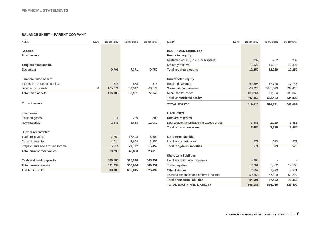#### **BALANCE SHEET – PARENT COMPANY**

| <b>KSEK</b>                      | <b>Note</b> | 30-09-2017 | 30-09-2016 | 31-12-2016 | <b>KSEK</b>                                 | <b>Note</b> | 30-09-2017 | 30-09-2016 | 31-12-2016 |
|----------------------------------|-------------|------------|------------|------------|---------------------------------------------|-------------|------------|------------|------------|
| <b>ASSETS</b>                    |             |            |            |            | <b>EQUITY AND LIABILITES</b>                |             |            |            |            |
| <b>Fixed assets</b>              |             |            |            |            | <b>Restricted equity</b>                    |             |            |            |            |
|                                  |             |            |            |            | Restricted equity (37 281 486 shares)       |             | 932        | 932        | 932        |
| <b>Tangible fixed assets</b>     |             |            |            |            | Statutory reserve                           |             | 11,327     | 11,327     | 11,327     |
| Equipment                        |             | 9,798      | 7,371      | 9,759      | <b>Total restricted equity</b>              |             | 12,259     | 12,259     | 12,259     |
| <b>Financial fixed assets</b>    |             |            |            |            | <b>Unrestricted equity</b>                  |             |            |            |            |
| Interest in Group companies      |             | 816        | 573        | 816        | Retained earnings                           |             | $-62,595$  | 17,746     | 17,746     |
| Deferred tax assets              | 8           | 105,571    | 59,047     | 66,574     | Share premium reserve                       |             | 608,225    | 596, 699   | 597,418    |
| <b>Total fixed assets</b>        |             | 116,185    | 66,991     | 77,149     | Result for the period                       |             | $-138,264$ | $-51,964$  | $-80,340$  |
|                                  |             |            |            |            | <b>Total unrestricted equity</b>            |             | 407,366    | 562,482    | 534,823    |
| <b>Current assets</b>            |             |            |            |            | <b>TOTAL EQUITY</b>                         |             | 419,625    | 574,741    | 547,083    |
| <b>Inventories</b>               |             |            |            |            | <b>LIABILITIES</b>                          |             |            |            |            |
| Finished goods                   |             | 271        | 289        | 300        | <b>Untaxed reserves</b>                     |             |            |            |            |
| Raw materials                    |             | 2,843      | 3,668      | 12,080     | Depreciation/amortization in excess of plan |             | 3,486      | 2,239      | 3,486      |
|                                  |             |            |            |            | <b>Total untaxed reserves</b>               |             | 3,486      | 2,239      | 3,486      |
| <b>Current receivables</b>       |             |            |            |            |                                             |             |            |            |            |
| Trade receivables                |             | 7,762      | 17,408     | 8,304      | <b>Long-term liabilities</b>                |             |            |            |            |
| Other receivables                |             | 4,624      | 3,669      | 3,855      | Liability to subsidiaries                   |             | 571        | 573        | 573        |
| Prepayments and accrued income   |             | 6,914      | 24,742     | 16,459     | <b>Total long-term liabilities</b>          |             | 571        | 573        | 573        |
| <b>Total current receivables</b> |             | 19,299     | 45,820     | 28,618     |                                             |             |            |            |            |
|                                  |             |            |            |            | <b>Short-term liabilities</b>               |             |            |            |            |
| Cash and bank deposits           |             | 369,586    | 518,248    | 508,351    | Liabilities to Group companies              |             | 4,903      |            |            |
| <b>Total current assets</b>      |             | 391,999    | 568,024    | 549,351    | Trade payables                              |             | 17,781     | 7,832      | 17,560     |
| <b>TOTAL ASSETS</b>              |             | 508,183    | 635,015    | 626,499    | Other liabilities                           |             | 2,557      | 1,933      | 2,571      |
|                                  |             |            |            |            | Accrued expenses and deferred income        |             | 59,259     | 47,698     | 55,227     |
|                                  |             |            |            |            | <b>Total short-term liabilities</b>         |             | 84,501     | 57,462     | 75,358     |

**TOTAL EQUITY AND LIABILITY 508,183 635,015 626,499**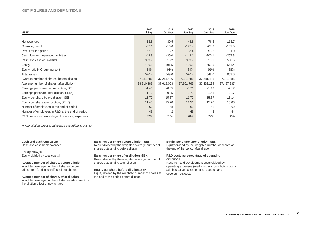| <b>MSEK</b>                                     | 2017<br>Jul-Sep | 2016<br>Jul-Sep | 2017<br>Jan-Sep | 2016<br>Jan-Sep | 2016<br>Jan-Dec |
|-------------------------------------------------|-----------------|-----------------|-----------------|-----------------|-----------------|
|                                                 |                 |                 |                 |                 |                 |
| Net revenues                                    | 12.5            | 30.5            | 48.8            | 76.6            | 113.7           |
| Operating result                                | $-67.1$         | $-16.6$         | $-177.4$        | $-67.3$         | $-102.5$        |
| Result for the period                           | $-52.3$         | $-13.2$         | $-138.4$        | $-53.2$         | $-81.0$         |
| Cash flow from operating activities             | $-43.9$         | $-30.0$         | $-148.1$        | $-200.1$        | $-207.8$        |
| Cash and cash equivalents                       | 369.7           | 518.2           | 369.7           | 518.2           | 508.6           |
| Equity                                          | 436.8           | 591.5           | 436.8           | 591.5           | 564.4           |
| Equity ratio in Group, percent                  | 84%             | 91%             | 84%             | 91%             | 88%             |
| <b>Total assets</b>                             | 520.4           | 649.0           | 520.4           | 649.0           | 639.8           |
| Average number of shares, before dilution       | 37,281,486      | 37,281,486      | 37,281,486      | 37,281,486      | 37,281,486      |
| Average number of shares, after dilution*)      | 38,310,188      | 37,618,063      | 37,961,763      | 37,432,224      | 37,487,937      |
| Earnings per share before dilution, SEK         | $-1.40$         | $-0.35$         | $-3.71$         | $-1.43$         | $-2.17$         |
| Earnings per share after dilution, SEK*)        | $-1.40$         | $-0.35$         | $-3.71$         | $-1.43$         | $-2.17$         |
| Equity per share before dilution, SEK           | 11.72           | 15.87           | 11.72           | 15.87           | 15.14           |
| Equity per share after dilution, SEK*)          | 11.40           | 15.70           | 11.51           | 15.70           | 15.06           |
| Number of employees at the end of period        | 69              | 58              | 69              | 58              | 62              |
| Number of employees in R&D at the end of period | 48              | 42              | 48              | 42              | 44              |
| R&D costs as a percentage of operating expenses | 77%             | 78%             | 78%             | 79%             | 80%             |
|                                                 |                 |                 |                 |                 |                 |

*\*) The dilution effect is calculated according to IAS 33*

#### **Cash and cash equivalent**

Cash and cash bank balances

**Equity ratio, %** Equity divided by total capital

**Average number of shares, before dilution** Weighted average number of shares before adjustment for dilution effect of net shares

**Average number of shares, after dilution** Weighted average number of shares adjustment for the dilution effect of new shares

**Earnings per share before dilution, SEK** Result divided by the weighted average number of shares outstanding before dilution

**Earnings per share after dilution, SEK** Result divided by the weighted average number of shares outstanding after dilution

**Equity per share before dilution, SEK** Equity divided by the weighted number of shares at the end of the period before dilution

#### **Equity per share after dilution, SEK**

Equity divided by the weighted number of shares at the end of the period after dilution

#### **R&D costs as percentage of operating expenses**

Research and development costs divided by operating expenses (marketing and distribution costs, administrative expenses and research and development costs)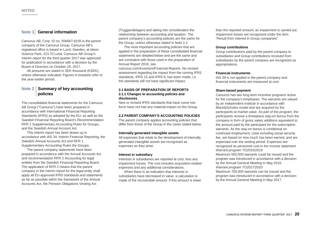#### **Note 1** General information

Camurus AB, Corp. ID no. 556667-9105 is the parent company of the Camurus Group. Camurus AB's registered office is based in Lund, Sweden, at Ideon Science Park, 223 70 Lund. Camurus AB Group's interim report for the third quarter 2017 was approved for publication in accordance with a decision by the Board of Directors on October 25, 2017.

All amounts are stated in SEK thousand (KSEK), unless otherwise indicated. Figures in brackets refer to the year-earlier period.

#### **Note 2 Summary of key accounting policies**

The consolidated financial statements for the Camurus AB Group ("Camurus") have been prepared in accordance with International Financial Reporting Standards (IFRS) as adopted by the EU, as well as the Swedish Financial Reporting Board's Recommendation RFR 1 Supplementary Accounting Rules for Groups, and the Swedish Annual Account Act.

This interim report has been drawn up in accordance with IAS 34, Interim Financial Reporting, the Swedish Annual Accounts Act and RFR 1 Supplementary Accounting Rules the Groups.

The parent company statements have been prepared in accordance with the Annual Accounts Act and recommendation RFR 2 Accounting for legal entities from the Swedish Financial Reporting Board. The application of RFR 2 means that the parent company in the interim report for the legal entity shall apply all EU-approved IFRS standards and statements as far as possible within the framework of the Annual Accounts Act, the Pension Obligations Vesting Act

(Tryggandelagen) and taking into consideration the relationship between accounting and taxation. The parent company's accounting policies are the same for the Group, unless otherwise stated in Note 2.2.

The most important accounting policies that are applied in the preparation of these consolidated financial statements are detailed below and are the same and are consistent with those used in the preparation of Annual Report 2016, see

camurus.com/Investors/Financial Reports. No revised assessment regarding the impact from the coming IFRS standards, IFRS 15 and IFRS 9, has been made, i.e. the standards will not have significant impact.

#### **2.1 BASIS OF PREPARATION OF REPORTS 2.1.1 Changes to accounting policies and disclosures**

New or revised IFRS standards that have come into force have not had any material impact on the Group.

#### **2.2 PARENT COMPANY'S ACCOUNTING POLICIES**

The parent company applies accounting policies that differ from those of the Group in the cases stated below.

#### **Internally generated intangible assets**

All expenses that relate to the development of internally generated intangible assets are recognized as expenses as they arise.

#### **Interest in subsidiary**

Interests in subsidiaries are reported at cost, less any impairment losses. The cost includes acquisition-related expenses and any additional considerations.

When there is an indication that interests in subsidiaries have decreased in value, a calculation is made of the recoverable amount. If this amount is lower than the reported amount, an impairment is carried out. Impairment losses are recognized under the item "Result from interest in Group companies".

#### **Group contributions**

Group contributions paid by the parent company to subsidiaries and Group contributions received from subsidiaries by the parent company are recognized as appropriations.

#### **Financial instruments**

IAS 39 is not applied in the parent company and financial instruments are measured at cost.

#### **Share-based payment**

Camurus has two long-term incentive programs active for the company's employees. The warrants are valued by an independent institute in accordance with Black&Scholes model and are acquired by the participants at market value. As part of the program, the participants receive a threepiece stay-on bonus from the company in form of gross salary additions equivalent to the amount paid by the participant for the subscription warrants. As the stay-on bonus is conditional on continued employment, costs including social security fee, are based on how much has been earned, and are expensed over the vesting period. Expenses are recognized as personnel cost in the income statement *Warrant program TO2016/2019* Maximum 550,000 warrants could be issued and the program was introduced in accordance with a decision by the Annual General Meeting in May 2016. *Warrant program TO2017/2020*

Maximum 750,000 warrants can be issued and the program was introduced in accordance with a decision by the Annual General Meeting in May 2017.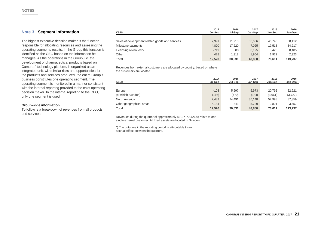### **Note 3 Segment information**

The highest executive decision maker is the function responsible for allocating resources and assessing the operating segments results. In the Group this function is identified as the CEO based on the information he manages. As the operations in the Group, i.e. the development of pharmaceutical products based on Camurus' technology platform, is organized as an integrated unit, with similar risks and opportunities for the products and services produced, the entire Group's business constitutes one operating segment. The operating segment is monitored in a manner consistent with the internal reporting provided to the chief operating decision maker. In the internal reporting to the CEO, only one segment is used.

#### **Group-wide information**

To follow is a breakdown of revenues from all products and services.

| <b>KSEK</b>                                     | 2017<br>Jul-Sep | 2016<br>Jul-Sep | 2017<br>Jan-Sep | 2016<br>Jan-Sep | 2016<br>Jan-Dec |
|-------------------------------------------------|-----------------|-----------------|-----------------|-----------------|-----------------|
|                                                 |                 |                 |                 |                 |                 |
| Sales of development related goods and services | 7.991           | 11.913          | 36.666          | 46.746          | 68.112          |
| Milestone payments                              | 4,820           | 17.220          | 7,025           | 19.518          | 34,217          |
| Licensing revenues*)                            | $-719$          | 80              | 3.195           | 8.425           | 8.485           |
| Other                                           | 428             | 1.318           | 1.964           | 1.922           | 2,923           |
| <b>Total</b>                                    | 12,520          | 30.531          | 48,850          | 76.611          | 113,737         |

Revenues from external customers are allocated by country, based on where the customers are located.

| <b>KSEK</b>              | 2017<br>Jul-Sep | 2016<br>Jul-Sep | 2017<br>Jan-Sep | 2016<br>Jan-Sep | 2016<br>Jan-Dec |
|--------------------------|-----------------|-----------------|-----------------|-----------------|-----------------|
|                          |                 |                 |                 |                 |                 |
| Europe                   | $-103$          | 5.697           | 6,973           | 20.792          | 22,921          |
| (of which Sweden)        | (116)           | (770)           | (184)           | (3,661)         | (3, 727)        |
| North America            | 7,489           | 24.491          | 36,148          | 52.998          | 87,359          |
| Other geographical areas | 5,134           | 343             | 5,729           | 2.821           | 3,457           |
| Total                    | 12,520          | 30,531          | 48,850          | 76,611          | 113,737         |

Revenues during the quarter of approximately MSEK 7,5 (26,6) relate to one single external customer. All fixed assets are located in Sweden.

\*) The outcome in the reporting period is attributable to an accrual effect between the quarters.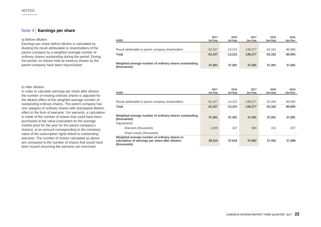### **Note 4 Earnings per share**

#### a) Before dilution

Earnings per share before dilution is calculated by dividing the result attributable to shareholders of the parent company by a weighted average number of ordinary shares outstanding during the period. During the period, no shares held as treasury shares by the parent company have been repurchased.

| <b>KSEK</b>                                                           | 2017<br>Jul-Sep | 2016<br>Jul-Sep | 2017<br>Jan-Sep | 2016<br>Jan-Sep | 2016<br>Jan-Dec |
|-----------------------------------------------------------------------|-----------------|-----------------|-----------------|-----------------|-----------------|
|                                                                       |                 |                 |                 |                 |                 |
| Result attributable to parent company shareholders                    | $-52.327$       | $-13.215$       | $-138.377$      | $-53.182$       | $-80.993$       |
| Total                                                                 | $-52.327$       | $-13.215$       | $-138.377$      | $-53.182$       | $-80.993$       |
|                                                                       |                 |                 |                 |                 |                 |
| Weighted average number of ordinary shares outstanding<br>(thousands) | 37,281          | 37.281          | 37.281          | 37.281          | 37,281          |

#### b) After dilution

In order to calculate earnings per share after dilution, the number of existing ordinary shares is adjusted for the dilutive effect of the weighted average number of outstanding ordinary shares. The parent company has one category of ordinary shares with anticipated dilution effect in the form of warrants. For warrants, a calculation is made of the number of shares that could have been purchased at fair value (calculated as the average market price for the year for the parent company's shares), at an amount corresponding to the monetary value of the subscription rights linked to outstanding warrants. The number of shares calculated as above are compared to the number of shares that would have been issued assuming the warrants are exercised.

| <b>KSEK</b>                                                                                                      | 2017<br>Jul-Sep | 2016<br>Jul-Sep | 2017<br>Jan-Sep | 2016<br>Jan-Sep | 2016<br>Jan-Dec |
|------------------------------------------------------------------------------------------------------------------|-----------------|-----------------|-----------------|-----------------|-----------------|
|                                                                                                                  |                 |                 |                 |                 |                 |
| Result attributable to parent company shareholders                                                               | $-52.327$       | $-13.215$       | $-138,377$      | $-53.182$       | $-80,993$       |
| Total                                                                                                            | $-52,327$       | $-13.215$       | $-138.377$      | $-53.182$       | $-80,993$       |
| Weighted average number of ordinary shares outstanding<br>(thousands)                                            | 37,281          | 37.281          | 37,281          | 37.281          | 37,281          |
| Adjustments:                                                                                                     |                 |                 |                 |                 |                 |
| - Warrants (thousands)                                                                                           | 1,029           | 337             | 680             | 151             | 207             |
| - Share issues (thousands)                                                                                       | ۰               |                 |                 |                 |                 |
| Weighted average number of ordinary shares in<br>calculation of earnings per share after dilution<br>(thousands) | 38,310          | 37,618          | 37,962          | 37.432          | 37,488          |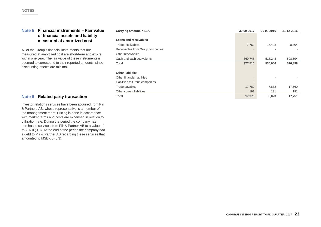#### **Note 5 Financial instruments – Fair value of financial assets and liability measured at amortized cost**

All of the Group's financial instruments that are measured at amortized cost are short-term and expire within one year. The fair value of these instruments is deemed to correspond to their reported amounts, since discounting effects are minimal.

### **Note 6 Related party transaction**

Investor relations services have been acquired from Piir & Partners AB, whose representative is a member of the management team. Pricing is done in accordance with market terms and costs are expensed in relation to utilization rate. During the period the company has purchased services from Piir & Partner AB to a value of MSEK 0 (0,3). At the end of the period the company had a debt to Piir & Partner AB regarding these services that amounted to MSEK 0 (0,3).

| <b>Carrying amount, KSEK</b>     | 30-09-2017               | 30-09-2016 | 31-12-2016 |
|----------------------------------|--------------------------|------------|------------|
|                                  |                          |            |            |
| Loans and receivables            |                          |            |            |
| Trade receivables                | 7,762                    | 17,408     | 8,304      |
| Receivables from Group companies |                          |            |            |
| Other receivables                | $\overline{\phantom{a}}$ |            |            |
| Cash and cash equivalents        | 369,748                  | 518,248    | 508,594    |
| <b>Total</b>                     | 377,510                  | 535,656    | 516,898    |
| <b>Other liabilities</b>         |                          |            |            |
| Other financial liabilities      |                          |            |            |
| Liabilities to Group companies   | -                        |            |            |
| Trade payables                   | 17,782                   | 7,832      | 17,560     |
| Other current liabilities        | 191                      | 191        | 191        |
| Total                            | 17,973                   | 8,023      | 17,751     |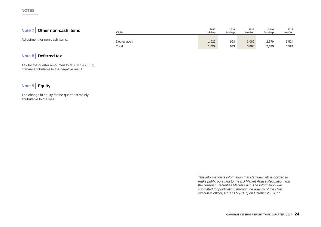## **Note 7 Other non-cash items**

Adjustment for non-cash items:

| <b>KSEK</b>  | 2017<br>Jul-Sep | 2016<br>Jul-Sep | 2017<br>Jan-Sep | 2016<br>Jan-Sep | 2016<br>Jan-Dec |
|--------------|-----------------|-----------------|-----------------|-----------------|-----------------|
| Depreciation | 1,022           | 993             | 3,060           | 2,679           | 3,524           |
| <b>Total</b> | 1,022           | 993             | 3,060           | 2,679           | 3,524           |

### **Note 8 Deferred tax**

Tax for the quarter amounted to MSEK 14,7 (3,7), primary attributable to the negative result.

## **Note 9 Equity**

The change in equity for the quarter is mainly attributable to the loss.

> *This information is information that Camurus AB is obliged to make public pursuant to the EU Market Abuse Regulation and the Swedish Securities Markets Act. The information was submitted for publication, through the agency of the chief executive officer, 07.00 AM (CET) on October 26, 2017.*